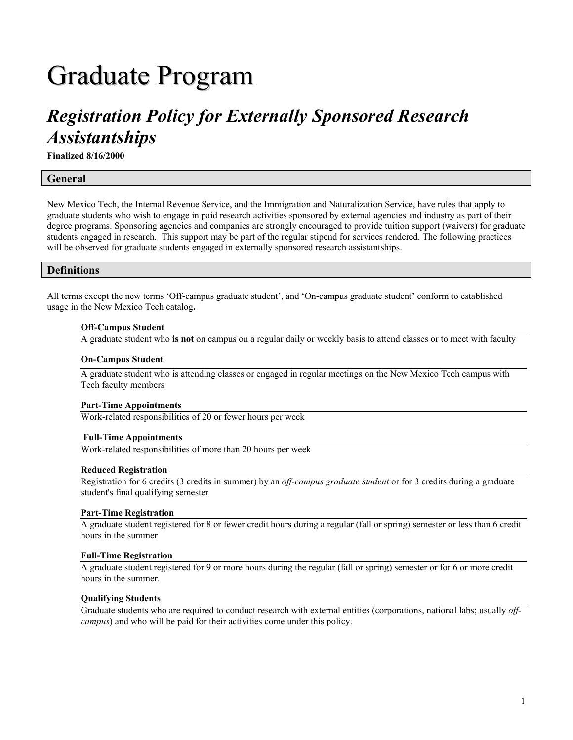# Graduate Program

# *Registration Policy for Externally Sponsored Research Assistantships*

**Finalized 8/16/2000** 

## **General**

New Mexico Tech, the Internal Revenue Service, and the Immigration and Naturalization Service, have rules that apply to graduate students who wish to engage in paid research activities sponsored by external agencies and industry as part of their degree programs. Sponsoring agencies and companies are strongly encouraged to provide tuition support (waivers) for graduate students engaged in research. This support may be part of the regular stipend for services rendered. The following practices will be observed for graduate students engaged in externally sponsored research assistantships.

### **Definitions**

All terms except the new terms 'Off-campus graduate student', and 'On-campus graduate student' conform to established usage in the New Mexico Tech catalog**.** 

#### **Off-Campus Student**

A graduate student who **is not** on campus on a regular daily or weekly basis to attend classes or to meet with faculty

#### **On-Campus Student**

A graduate student who is attending classes or engaged in regular meetings on the New Mexico Tech campus with Tech faculty members

#### **Part-Time Appointments**

Work-related responsibilities of 20 or fewer hours per week

#### **Full-Time Appointments**

Work-related responsibilities of more than 20 hours per week

#### **Reduced Registration**

Registration for 6 credits (3 credits in summer) by an *off-campus graduate student* or for 3 credits during a graduate student's final qualifying semester

#### **Part-Time Registration**

A graduate student registered for 8 or fewer credit hours during a regular (fall or spring) semester or less than 6 credit hours in the summer

#### **Full-Time Registration**

A graduate student registered for 9 or more hours during the regular (fall or spring) semester or for 6 or more credit hours in the summer.

#### **Qualifying Students**

Graduate students who are required to conduct research with external entities (corporations, national labs; usually *offcampus*) and who will be paid for their activities come under this policy.